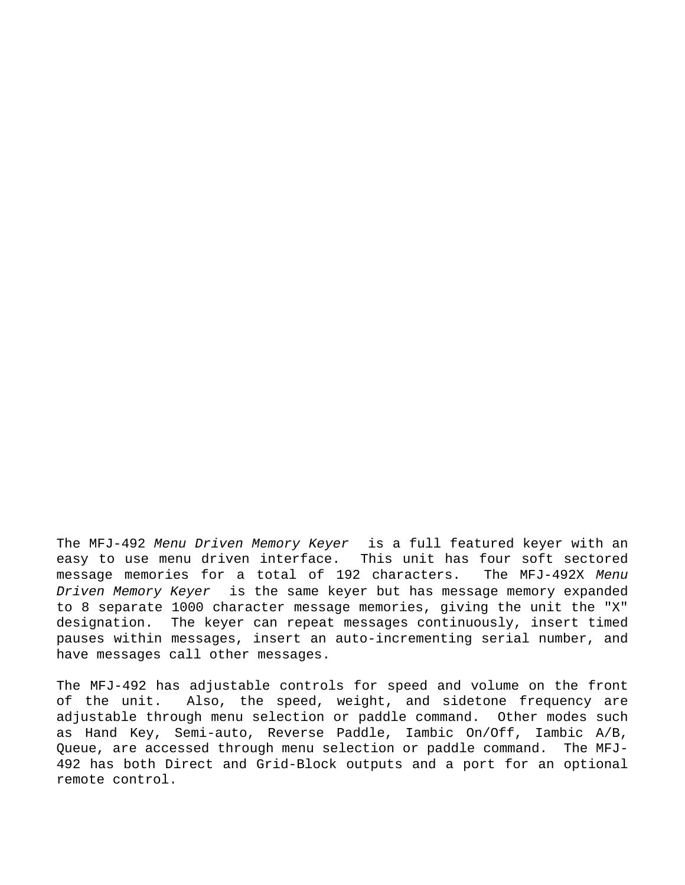The MFJ-492 Menu Driven Memory Keyer<sup>™</sup> is a full featured keyer with an easy to use menu driven interface. This unit has four soft sectored message memories for a total of 192 characters. The MFJ-492X Menu Driven Memory Keyer<sup>™</sup> is the same keyer but has message memory expanded to 8 separate 1000 character message memories, giving the unit the "X" designation. The keyer can repeat messages continuously, insert timed pauses within messages, insert an auto-incrementing serial number, and have messages call other messages.

The MFJ-492 has adjustable controls for speed and volume on the front of the unit. Also, the speed, weight, and sidetone frequency are adjustable through menu selection or paddle command. Other modes such as Hand Key, Semi-auto, Reverse Paddle, Iambic On/Off, Iambic A/B, Queue, are accessed through menu selection or paddle command. The MFJ-492 has both Direct and Grid-Block outputs and a port for an optional remote control.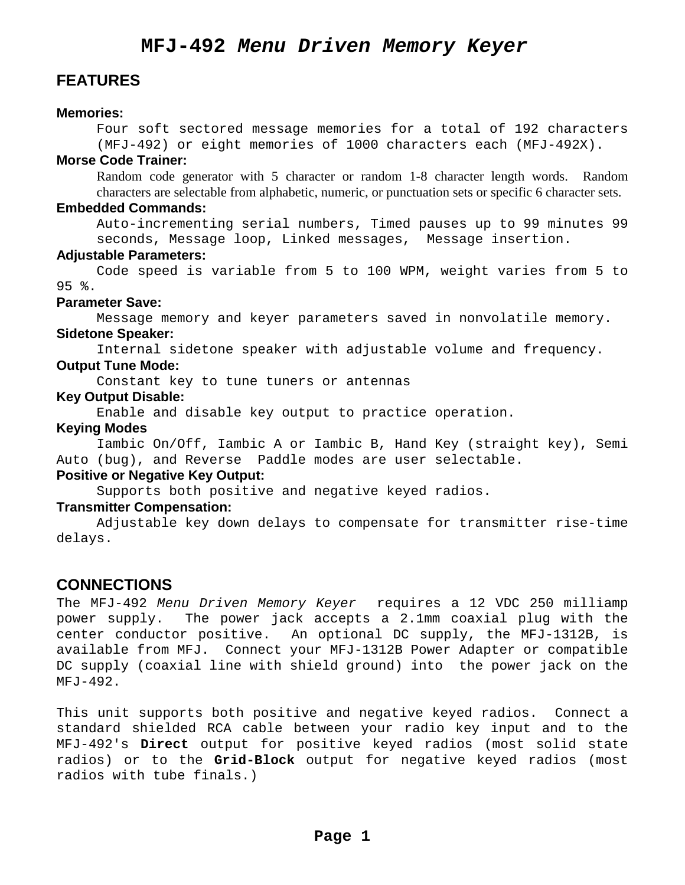# **MFJ-492 Menu Driven Memory Keyer**

## **FEATURES**

## **Memories:**

Four soft sectored message memories for a total of 192 characters (MFJ-492) or eight memories of 1000 characters each (MFJ-492X).

## **Morse Code Trainer:**

 Random code generator with 5 character or random 1-8 character length words. Random characters are selectable from alphabetic, numeric, or punctuation sets or specific 6 character sets.

## **Embedded Commands:**

Auto-incrementing serial numbers, Timed pauses up to 99 minutes 99 seconds, Message loop, Linked messages, Message insertion.

### **Adjustable Parameters:**

 Code speed is variable from 5 to 100 WPM, weight varies from 5 to 95 %.

## **Parameter Save:**

 Message memory and keyer parameters saved in nonvolatile memory. **Sidetone Speaker:** 

Internal sidetone speaker with adjustable volume and frequency.

## **Output Tune Mode:**

Constant key to tune tuners or antennas

## **Key Output Disable:**

Enable and disable key output to practice operation.

## **Keying Modes**

 Iambic On/Off, Iambic A or Iambic B, Hand Key (straight key), Semi Auto (bug), and Reverse Paddle modes are user selectable.

### **Positive or Negative Key Output:**

Supports both positive and negative keyed radios.

## **Transmitter Compensation:**

 Adjustable key down delays to compensate for transmitter rise-time delays.

## **CONNECTIONS**

The MFJ-492 Menu Driven Memory Keyer<sup>™</sup> requires a 12 VDC 250 milliamp power supply. The power jack accepts a 2.1mm coaxial plug with the center conductor positive. An optional DC supply, the MFJ-1312B, is available from MFJ. Connect your MFJ-1312B Power Adapter or compatible DC supply (coaxial line with shield ground) into the power jack on the MFJ-492.

This unit supports both positive and negative keyed radios. Connect a standard shielded RCA cable between your radio key input and to the MFJ-492's **Direct** output for positive keyed radios (most solid state radios) or to the **Grid-Block** output for negative keyed radios (most radios with tube finals.)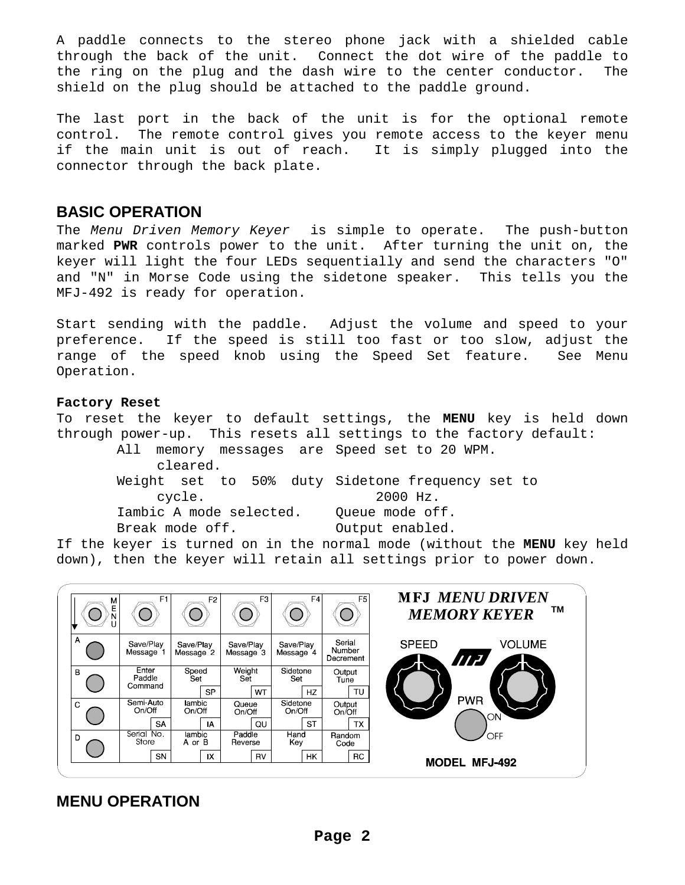A paddle connects to the stereo phone jack with a shielded cable through the back of the unit. Connect the dot wire of the paddle to the ring on the plug and the dash wire to the center conductor. The shield on the plug should be attached to the paddle ground.

The last port in the back of the unit is for the optional remote control. The remote control gives you remote access to the keyer menu if the main unit is out of reach. It is simply plugged into the connector through the back plate.

## **BASIC OPERATION**

The Menu Driven Memory Keyer<sup>™</sup> is simple to operate. The push-button marked **PWR** controls power to the unit. After turning the unit on, the keyer will light the four LEDs sequentially and send the characters "O" and "N" in Morse Code using the sidetone speaker. This tells you the MFJ-492 is ready for operation.

Start sending with the paddle. Adjust the volume and speed to your preference. If the speed is still too fast or too slow, adjust the range of the speed knob using the Speed Set feature. See Menu Operation.

## **Factory Reset**

To reset the keyer to default settings, the **MENU** key is held down through power-up. This resets all settings to the factory default:

All memory messages are Speed set to 20 WPM. cleared. Weight set to 50% duty Sidetone frequency set to cycle. 2000 Hz. Iambic A mode selected. Queue mode off. Break mode off. 0utput enabled.

If the keyer is turned on in the normal mode (without the **MENU** key held down), then the keyer will retain all settings prior to power down.



# **MENU OPERATION**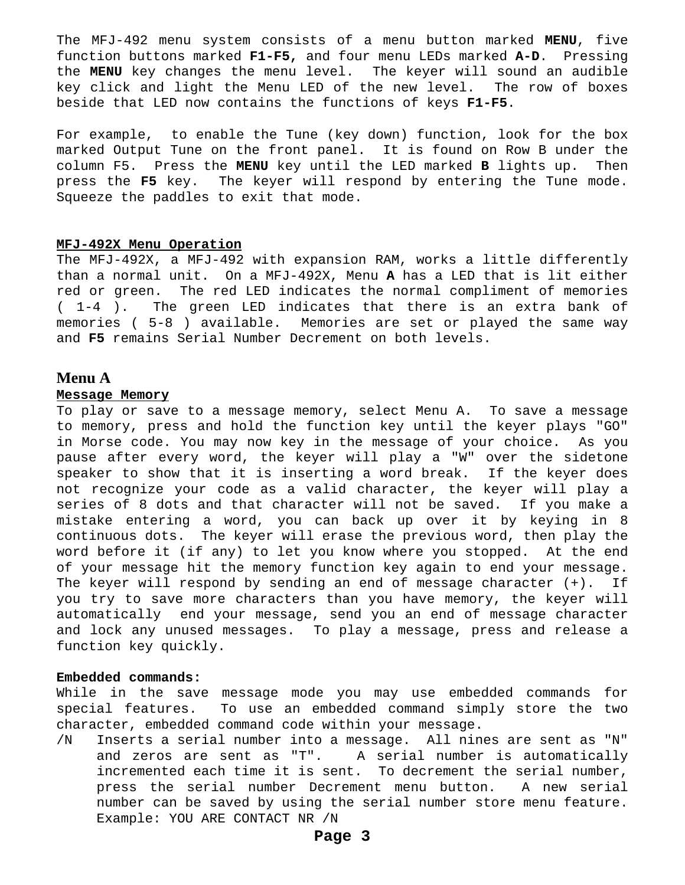The MFJ-492 menu system consists of a menu button marked **MENU**, five function buttons marked **F1-F5,** and four menu LEDs marked **A-D**. Pressing the **MENU** key changes the menu level. The keyer will sound an audible key click and light the Menu LED of the new level. The row of boxes beside that LED now contains the functions of keys **F1-F5**.

For example, to enable the Tune (key down) function, look for the box marked Output Tune on the front panel. It is found on Row B under the column F5. Press the **MENU** key until the LED marked **B** lights up. Then press the **F5** key. The keyer will respond by entering the Tune mode. Squeeze the paddles to exit that mode.

#### **MFJ-492X Menu Operation**

The MFJ-492X, a MFJ-492 with expansion RAM, works a little differently than a normal unit. On a MFJ-492X, Menu **A** has a LED that is lit either red or green. The red LED indicates the normal compliment of memories ( 1-4 ). The green LED indicates that there is an extra bank of memories ( 5-8 ) available. Memories are set or played the same way and **F5** remains Serial Number Decrement on both levels.

## **Menu A**

#### **Message Memory**

To play or save to a message memory, select Menu A. To save a message to memory, press and hold the function key until the keyer plays "GO" in Morse code. You may now key in the message of your choice. As you pause after every word, the keyer will play a "W" over the sidetone speaker to show that it is inserting a word break. If the keyer does not recognize your code as a valid character, the keyer will play a series of 8 dots and that character will not be saved. If you make a mistake entering a word, you can back up over it by keying in 8 continuous dots. The keyer will erase the previous word, then play the word before it (if any) to let you know where you stopped. At the end of your message hit the memory function key again to end your message. The keyer will respond by sending an end of message character (+). If you try to save more characters than you have memory, the keyer will automatically end your message, send you an end of message character and lock any unused messages. To play a message, press and release a function key quickly.

#### **Embedded commands:**

While in the save message mode you may use embedded commands for special features. To use an embedded command simply store the two character, embedded command code within your message.

/N Inserts a serial number into a message. All nines are sent as "N" and zeros are sent as "T". A serial number is automatically incremented each time it is sent. To decrement the serial number, press the serial number Decrement menu button. A new serial number can be saved by using the serial number store menu feature. Example: YOU ARE CONTACT NR /N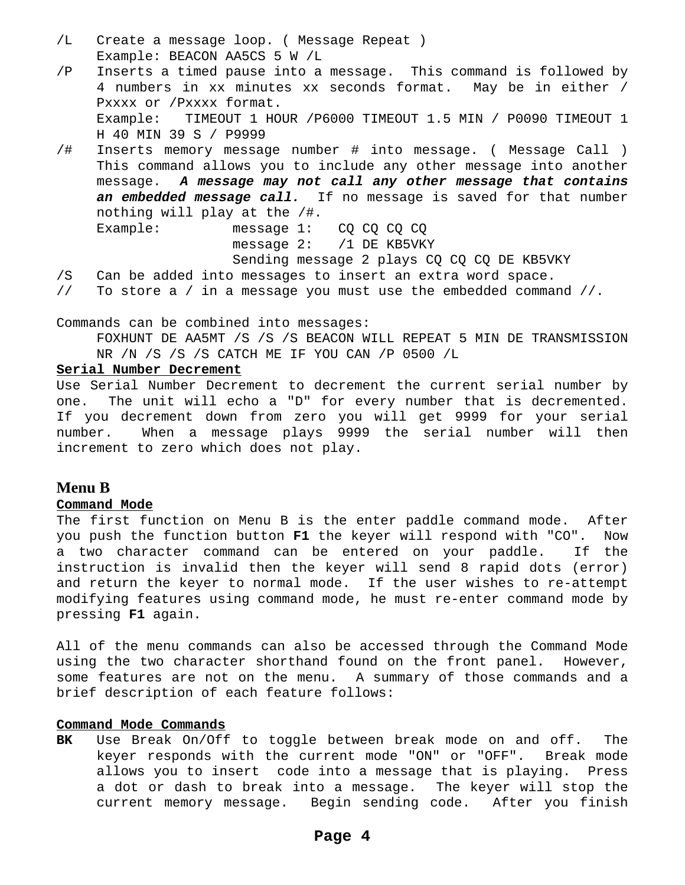- /L Create a message loop. ( Message Repeat ) Example: BEACON AA5CS 5 W /L
- /P Inserts a timed pause into a message. This command is followed by 4 numbers in xx minutes xx seconds format. May be in either / Pxxxx or /Pxxxx format. Example: TIMEOUT 1 HOUR /P6000 TIMEOUT 1.5 MIN / P0090 TIMEOUT 1 H 40 MIN 39 S / P9999
- /# Inserts memory message number # into message. ( Message Call ) This command allows you to include any other message into another message. **A message may not call any other message that contains**  an embedded message call. If no message is saved for that number nothing will play at the /#.

Example: message 1: CQ CQ CQ CQ message 2: /1 DE KB5VKY Sending message 2 plays CQ CQ CQ DE KB5VKY

- /S Can be added into messages to insert an extra word space.
- // To store a / in a message you must use the embedded command //.

Commands can be combined into messages:

 FOXHUNT DE AA5MT /S /S /S BEACON WILL REPEAT 5 MIN DE TRANSMISSION NR /N /S /S /S CATCH ME IF YOU CAN /P 0500 /L

#### **Serial Number Decrement**

Use Serial Number Decrement to decrement the current serial number by one. The unit will echo a "D" for every number that is decremented. If you decrement down from zero you will get 9999 for your serial number. When a message plays 9999 the serial number will then increment to zero which does not play.

## **Menu B**

### **Command Mode**

The first function on Menu B is the enter paddle command mode. After you push the function button **F1** the keyer will respond with "CO". Now a two character command can be entered on your paddle. If the instruction is invalid then the keyer will send 8 rapid dots (error) and return the keyer to normal mode. If the user wishes to re-attempt modifying features using command mode, he must re-enter command mode by pressing **F1** again.

All of the menu commands can also be accessed through the Command Mode using the two character shorthand found on the front panel. However, some features are not on the menu. A summary of those commands and a brief description of each feature follows:

### **Command Mode Commands**

**BK** Use Break On/Off to toggle between break mode on and off. The keyer responds with the current mode "ON" or "OFF". Break mode allows you to insert code into a message that is playing. Press a dot or dash to break into a message. The keyer will stop the current memory message. Begin sending code. After you finish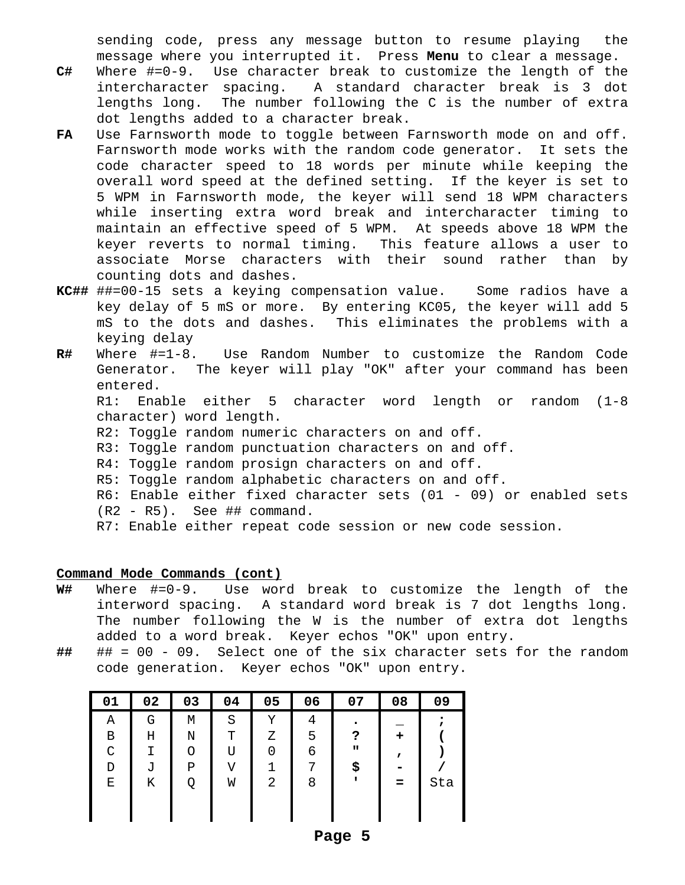sending code, press any message button to resume playing the message where you interrupted it. Press **Menu** to clear a message.

- **C#** Where #=0-9. Use character break to customize the length of the intercharacter spacing. A standard character break is 3 dot lengths long. The number following the C is the number of extra dot lengths added to a character break.
- **FA** Use Farnsworth mode to toggle between Farnsworth mode on and off. Farnsworth mode works with the random code generator. It sets the code character speed to 18 words per minute while keeping the overall word speed at the defined setting. If the keyer is set to 5 WPM in Farnsworth mode, the keyer will send 18 WPM characters while inserting extra word break and intercharacter timing to maintain an effective speed of 5 WPM. At speeds above 18 WPM the keyer reverts to normal timing. This feature allows a user to associate Morse characters with their sound rather than by counting dots and dashes.
- **KC##** ##=00-15 sets a keying compensation value. Some radios have a key delay of 5 mS or more. By entering KC05, the keyer will add 5 mS to the dots and dashes. This eliminates the problems with a keying delay
- **R#** Where #=1-8. Use Random Number to customize the Random Code Generator. The keyer will play "OK" after your command has been entered.

 R1: Enable either 5 character word length or random (1-8 character) word length.

- R2: Toggle random numeric characters on and off.
- R3: Toggle random punctuation characters on and off.
- R4: Toggle random prosign characters on and off.
- R5: Toggle random alphabetic characters on and off.
- R6: Enable either fixed character sets (01 09) or enabled sets
- (R2 R5). See ## command.
- R7: Enable either repeat code session or new code session.

## **Command Mode Commands (cont)**

- **W#** Where #=0-9. Use word break to customize the length of the interword spacing. A standard word break is 7 dot lengths long. The number following the W is the number of extra dot lengths added to a word break. Keyer echos "OK" upon entry.
- **##** ## = 00 09. Select one of the six character sets for the random code generation. Keyer echos "OK" upon entry.

| 01 | 02 | 03 | 04 | 05 | 06 | 07           | 08 | 09  |
|----|----|----|----|----|----|--------------|----|-----|
| Α  | G  | М  | S  | Y  | 4  | ٠            |    |     |
| В  | Η  | Ν  | т  | Ζ  | 5  | ?            | +  |     |
| C  |    | Ο  | U  |    | 6  | $\mathbf{u}$ |    |     |
| D  | J  | Ρ  | V  |    | ⇁  | \$           |    |     |
| Е  | Κ  | Q  | W  | 2  | 8  | п            | =  | Sta |
|    |    |    |    |    |    |              |    |     |
|    |    |    |    |    |    |              |    |     |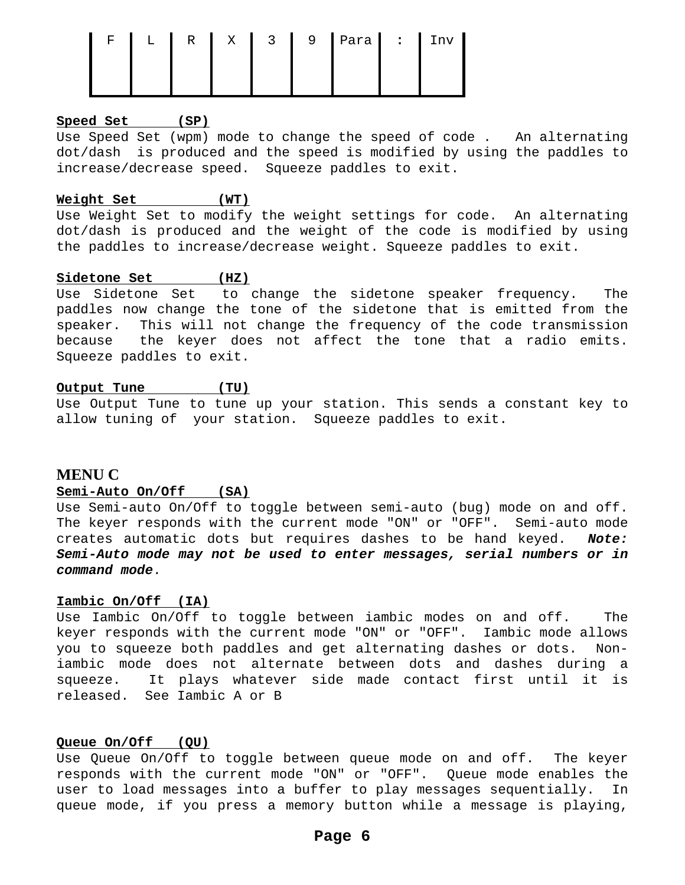| ਸਾ | $L$ 1 | R | $X \parallel 3 \parallel$ | 9 | Para   :   Inv |  |
|----|-------|---|---------------------------|---|----------------|--|
|    |       |   |                           |   |                |  |
|    |       |   |                           |   |                |  |

## **Speed Set (SP)**

Use Speed Set (wpm) mode to change the speed of code . An alternating dot/dash is produced and the speed is modified by using the paddles to increase/decrease speed. Squeeze paddles to exit.

## **Weight Set (WT)**

Use Weight Set to modify the weight settings for code. An alternating dot/dash is produced and the weight of the code is modified by using the paddles to increase/decrease weight. Squeeze paddles to exit.

## **Sidetone Set (HZ)**

Use Sidetone Set to change the sidetone speaker frequency. The paddles now change the tone of the sidetone that is emitted from the speaker. This will not change the frequency of the code transmission because the keyer does not affect the tone that a radio emits. Squeeze paddles to exit.

## **Output Tune (TU)**

Use Output Tune to tune up your station. This sends a constant key to allow tuning of your station. Squeeze paddles to exit.

## **MENU C**

## **Semi-Auto On/Off (SA)**

Use Semi-auto On/Off to toggle between semi-auto (bug) mode on and off. The keyer responds with the current mode "ON" or "OFF". Semi-auto mode creates automatic dots but requires dashes to be hand keyed. **Note: Semi-Auto mode may not be used to enter messages, serial numbers or in command mode**.

### **Iambic On/Off (IA)**

Use Iambic On/Off to toggle between iambic modes on and off. The keyer responds with the current mode "ON" or "OFF". Iambic mode allows you to squeeze both paddles and get alternating dashes or dots. Noniambic mode does not alternate between dots and dashes during a squeeze. It plays whatever side made contact first until it is released. See Iambic A or B

### **Queue On/Off (QU)**

Use Queue On/Off to toggle between queue mode on and off. The keyer responds with the current mode "ON" or "OFF". Queue mode enables the user to load messages into a buffer to play messages sequentially. In queue mode, if you press a memory button while a message is playing,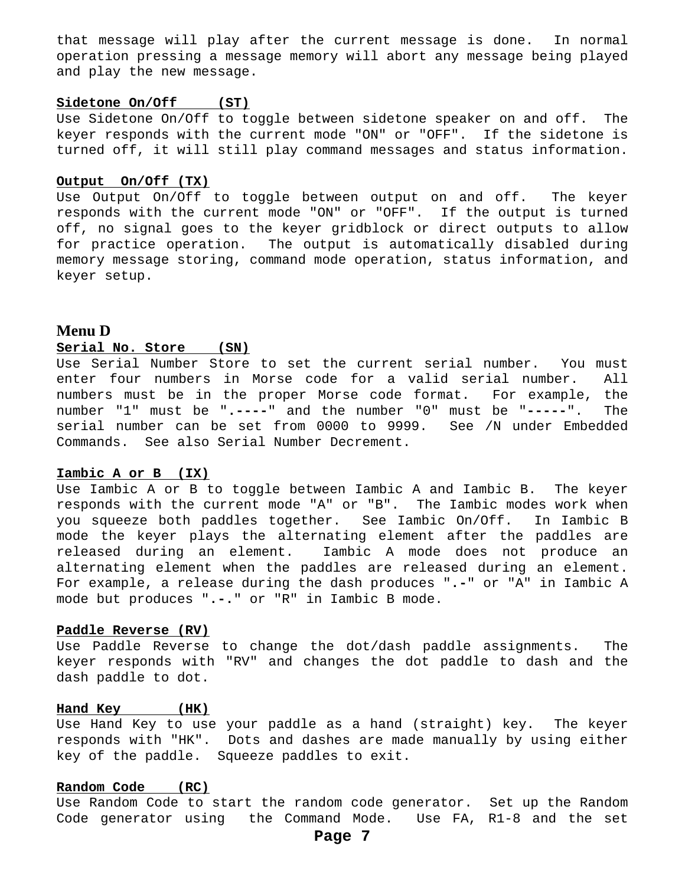that message will play after the current message is done. In normal operation pressing a message memory will abort any message being played and play the new message.

## **Sidetone On/Off (ST)**

Use Sidetone On/Off to toggle between sidetone speaker on and off. The keyer responds with the current mode "ON" or "OFF". If the sidetone is turned off, it will still play command messages and status information.

#### **Output On/Off (TX)**

Use Output On/Off to toggle between output on and off. The keyer responds with the current mode "ON" or "OFF". If the output is turned off, no signal goes to the keyer gridblock or direct outputs to allow for practice operation. The output is automatically disabled during memory message storing, command mode operation, status information, and keyer setup.

## **Menu D**

#### **Serial No. Store (SN)**

Use Serial Number Store to set the current serial number. You must enter four numbers in Morse code for a valid serial number. All numbers must be in the proper Morse code format. For example, the number "1" must be "**.----**" and the number "0" must be "**-----**". The serial number can be set from 0000 to 9999. See /N under Embedded Commands. See also Serial Number Decrement.

#### **Iambic A or B (IX)**

Use Iambic A or B to toggle between Iambic A and Iambic B. The keyer responds with the current mode "A" or "B". The Iambic modes work when you squeeze both paddles together. See Iambic On/Off. In Iambic B mode the keyer plays the alternating element after the paddles are released during an element. Iambic A mode does not produce an alternating element when the paddles are released during an element. For example, a release during the dash produces "**.-**" or "A" in Iambic A mode but produces "**.-.**" or "R" in Iambic B mode.

#### **Paddle Reverse (RV)**

Use Paddle Reverse to change the dot/dash paddle assignments. The keyer responds with "RV" and changes the dot paddle to dash and the dash paddle to dot.

#### **Hand Key (HK)**

Use Hand Key to use your paddle as a hand (straight) key. The keyer responds with "HK". Dots and dashes are made manually by using either key of the paddle. Squeeze paddles to exit.

### **Random Code (RC)**

Use Random Code to start the random code generator. Set up the Random Code generator using the Command Mode. Use FA, R1-8 and the set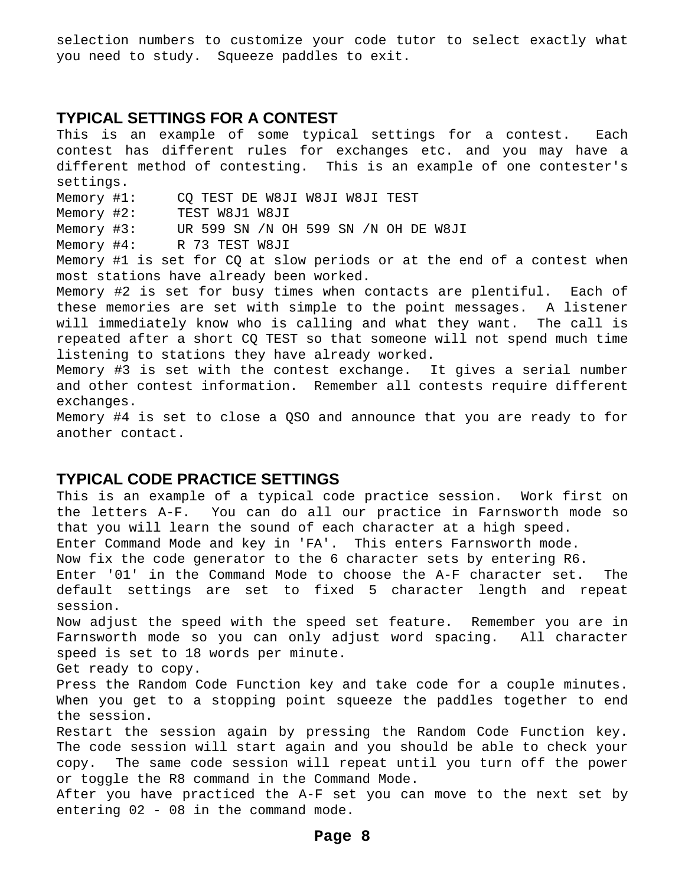selection numbers to customize your code tutor to select exactly what you need to study. Squeeze paddles to exit.

## **TYPICAL SETTINGS FOR A CONTEST**

This is an example of some typical settings for a contest. Each contest has different rules for exchanges etc. and you may have a different method of contesting. This is an example of one contester's settings. Memory #1: CQ TEST DE W8JI W8JI W8JI TEST Memory #2: TEST W8J1 W8JI Memory #3: UR 599 SN /N OH 599 SN /N OH DE W8JI Memory #4: R 73 TEST W8JI Memory #1 is set for CQ at slow periods or at the end of a contest when most stations have already been worked. Memory #2 is set for busy times when contacts are plentiful. Each of these memories are set with simple to the point messages. A listener will immediately know who is calling and what they want. The call is repeated after a short CQ TEST so that someone will not spend much time listening to stations they have already worked. Memory #3 is set with the contest exchange. It gives a serial number and other contest information. Remember all contests require different exchanges. Memory #4 is set to close a QSO and announce that you are ready to for another contact.

## **TYPICAL CODE PRACTICE SETTINGS**

This is an example of a typical code practice session. Work first on the letters A-F. You can do all our practice in Farnsworth mode so that you will learn the sound of each character at a high speed.

Enter Command Mode and key in 'FA'. This enters Farnsworth mode.

Now fix the code generator to the 6 character sets by entering R6.

Enter '01' in the Command Mode to choose the A-F character set. The default settings are set to fixed 5 character length and repeat session.

Now adjust the speed with the speed set feature. Remember you are in Farnsworth mode so you can only adjust word spacing. All character speed is set to 18 words per minute.

Get ready to copy.

Press the Random Code Function key and take code for a couple minutes. When you get to a stopping point squeeze the paddles together to end the session.

Restart the session again by pressing the Random Code Function key. The code session will start again and you should be able to check your copy. The same code session will repeat until you turn off the power or toggle the R8 command in the Command Mode.

After you have practiced the A-F set you can move to the next set by entering 02 - 08 in the command mode.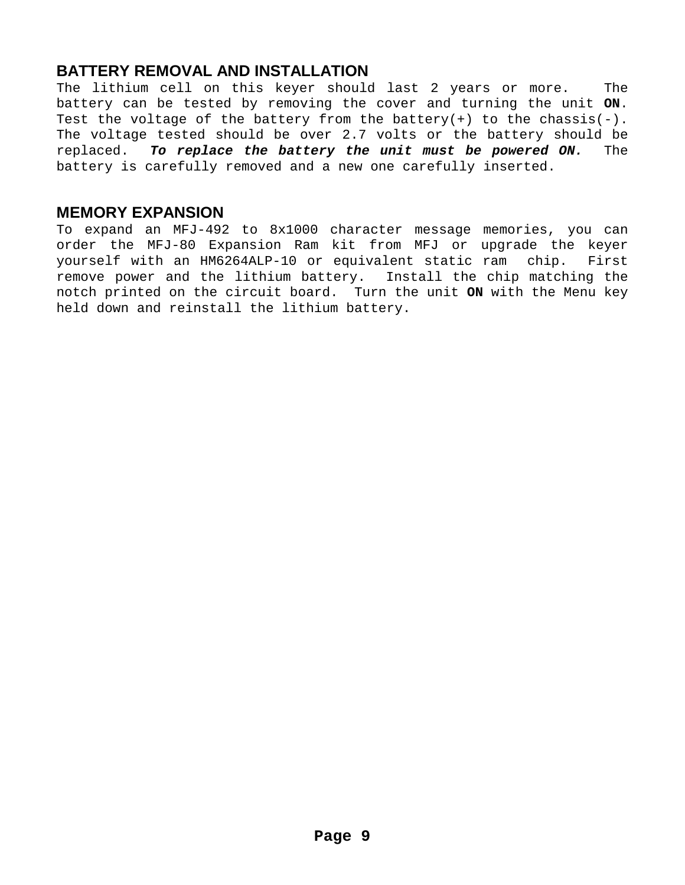## **BATTERY REMOVAL AND INSTALLATION**

The lithium cell on this keyer should last 2 years or more. The battery can be tested by removing the cover and turning the unit **ON**. Test the voltage of the battery from the battery(+) to the chassis(-). The voltage tested should be over 2.7 volts or the battery should be replaced. **To replace the battery the unit must be powered ON.** The battery is carefully removed and a new one carefully inserted.

## **MEMORY EXPANSION**

To expand an MFJ-492 to 8x1000 character message memories, you can order the MFJ-80 Expansion Ram kit from MFJ or upgrade the keyer yourself with an HM6264ALP-10 or equivalent static ram chip. First remove power and the lithium battery. Install the chip matching the notch printed on the circuit board. Turn the unit **ON** with the Menu key held down and reinstall the lithium battery.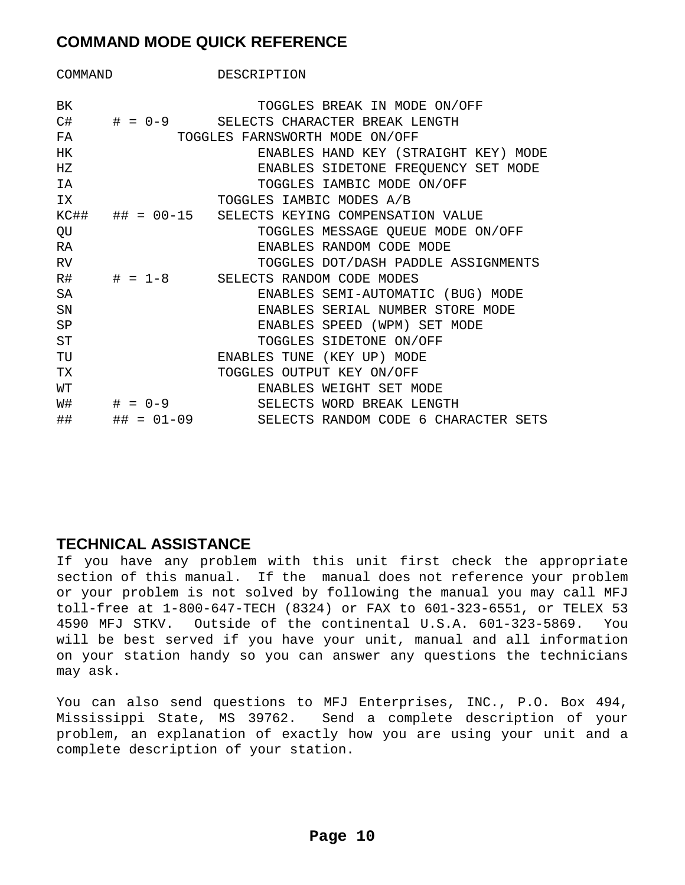# **COMMAND MODE QUICK REFERENCE**

| COMMAND     |                | DESCRIPTION                                       |  |  |  |  |
|-------------|----------------|---------------------------------------------------|--|--|--|--|
|             |                |                                                   |  |  |  |  |
| BK          |                | TOGGLES BREAK IN MODE ON/OFF                      |  |  |  |  |
| C#          | $\# = 0 - 9$   | SELECTS CHARACTER BREAK LENGTH                    |  |  |  |  |
| FA          |                | TOGGLES FARNSWORTH MODE ON/OFF                    |  |  |  |  |
| HK          |                | ENABLES HAND KEY (STRAIGHT KEY) MODE              |  |  |  |  |
| $_{\rm HZ}$ |                | ENABLES SIDETONE FREQUENCY SET MODE               |  |  |  |  |
| ΙA          |                | TOGGLES IAMBIC MODE ON/OFF                        |  |  |  |  |
| ΙX.         |                | TOGGLES IAMBIC MODES A/B                          |  |  |  |  |
|             |                | KC## ## = 00-15 SELECTS KEYING COMPENSATION VALUE |  |  |  |  |
| QU          |                | TOGGLES MESSAGE QUEUE MODE ON/OFF                 |  |  |  |  |
| RA          |                | ENABLES RANDOM CODE MODE                          |  |  |  |  |
| <b>RV</b>   |                | TOGGLES DOT/DASH PADDLE ASSIGNMENTS               |  |  |  |  |
| R#          |                | $\#$ = 1-8 SELECTS RANDOM CODE MODES              |  |  |  |  |
| SA          |                | ENABLES SEMI-AUTOMATIC (BUG) MODE                 |  |  |  |  |
| SN          |                | ENABLES SERIAL NUMBER STORE MODE                  |  |  |  |  |
| SP          |                | ENABLES SPEED (WPM) SET MODE                      |  |  |  |  |
| ST          |                | TOGGLES SIDETONE ON/OFF                           |  |  |  |  |
| TU          |                | ENABLES TUNE (KEY UP) MODE                        |  |  |  |  |
| TX          |                | TOGGLES OUTPUT KEY ON/OFF                         |  |  |  |  |
| WΤ          |                | ENABLES WEIGHT SET MODE                           |  |  |  |  |
| W#          | $\# = 0 - 9$   | SELECTS WORD BREAK LENGTH                         |  |  |  |  |
| ##          | ## $= 01 - 09$ | SELECTS RANDOM CODE 6 CHARACTER SETS              |  |  |  |  |

## **TECHNICAL ASSISTANCE**

If you have any problem with this unit first check the appropriate section of this manual. If the manual does not reference your problem or your problem is not solved by following the manual you may call MFJ toll-free at 1-800-647-TECH (8324) or FAX to 601-323-6551, or TELEX 53 4590 MFJ STKV. Outside of the continental U.S.A. 601-323-5869. You will be best served if you have your unit, manual and all information on your station handy so you can answer any questions the technicians may ask.

You can also send questions to MFJ Enterprises, INC., P.O. Box 494, Mississippi State, MS 39762. Send a complete description of your problem, an explanation of exactly how you are using your unit and a complete description of your station.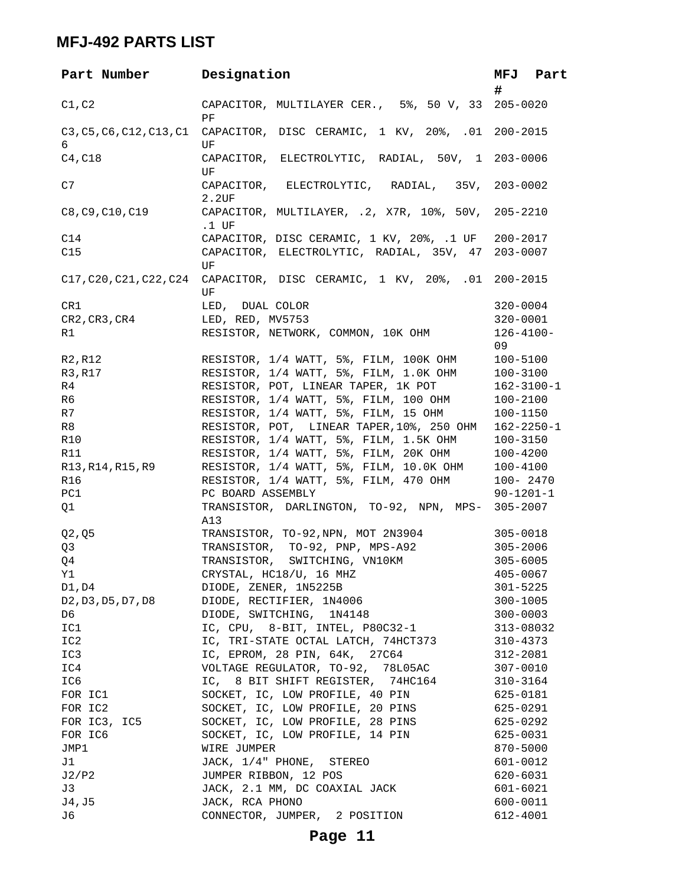# **MFJ-492 PARTS LIST**

| Part Number Designation                                                            |                                                                                | MFJ Part<br>#        |
|------------------------------------------------------------------------------------|--------------------------------------------------------------------------------|----------------------|
| C1, C2                                                                             | CAPACITOR, MULTILAYER CER., 5%, 50 V, 33 205-0020<br>PF                        |                      |
| C3, C5, C6, C12, C13, C1<br>6                                                      | CAPACITOR, DISC CERAMIC, 1 KV, 20%, .01 200-2015<br>UF                         |                      |
| C4, C18                                                                            | CAPACITOR, ELECTROLYTIC, RADIAL, 50V, 1 203-0006<br>UF                         |                      |
| C7                                                                                 | CAPACITOR, ELECTROLYTIC, RADIAL, 35V, 203-0002<br>2.2UF                        |                      |
| C8, C9, C10, C19                                                                   | CAPACITOR, MULTILAYER, .2, X7R, 10%, 50V, 205-2210<br>.1 UF                    |                      |
| C14                                                                                | CAPACITOR, DISC CERAMIC, 1 KV, 20%, .1 UF                                      | 200-2017             |
| C15                                                                                | CAPACITOR, ELECTROLYTIC, RADIAL, 35V, 47 203-0007<br>UF                        |                      |
|                                                                                    | C17, C20, C21, C22, C24 CAPACITOR, DISC CERAMIC, 1 KV, 20%, .01 200-2015<br>UF |                      |
| CR1                                                                                | LED, DUAL COLOR                                                                | $320 - 0004$         |
| CR2, CR3, CR4                                                                      | LED, RED, MV5753                                                               | 320-0001             |
| R1                                                                                 | RESISTOR, NETWORK, COMMON, 10K OHM                                             | $126 - 4100 -$<br>09 |
| R2, R12                                                                            | RESISTOR, 1/4 WATT, 5%, FILM, 100K OHM                                         | 100-5100             |
| R3, R17                                                                            | RESISTOR, 1/4 WATT, 5%, FILM, 1.0K OHM                                         | 100-3100             |
| R4                                                                                 | RESISTOR, POT, LINEAR TAPER, 1K POT                                            | $162 - 3100 - 1$     |
| R6                                                                                 | RESISTOR, 1/4 WATT, 5%, FILM, 100 OHM                                          | 100-2100             |
| R7                                                                                 | RESISTOR, 1/4 WATT, 5%, FILM, 15 OHM                                           | 100-1150             |
| R8                                                                                 | RESISTOR, POT, LINEAR TAPER, 10%, 250 OHM                                      | $162 - 2250 - 1$     |
| <b>R10</b>                                                                         | RESISTOR, 1/4 WATT, 5%, FILM, 1.5K OHM                                         | 100-3150             |
| <b>R11</b>                                                                         | RESISTOR, 1/4 WATT, 5%, FILM, 20K OHM                                          | 100-4200             |
| R13,R14,R15,R9                                                                     | RESISTOR, 1/4 WATT, 5%, FILM, 10.0K OHM                                        | 100-4100             |
| R16                                                                                | RESISTOR, 1/4 WATT, 5%, FILM, 470 OHM                                          | 100-2470             |
| PC1                                                                                | PC BOARD ASSEMBLY                                                              | $90 - 1201 - 1$      |
| Q1                                                                                 | TRANSISTOR, DARLINGTON, TO-92, NPN, MPS- 305-2007                              |                      |
|                                                                                    | A13                                                                            |                      |
| Q2, Q5                                                                             | TRANSISTOR, TO-92,NPN, MOT 2N3904                                              | $305 - 0018$         |
| Q3                                                                                 | TRANSISTOR, TO-92, PNP, MPS-A92                                                | $305 - 2006$         |
| Q4                                                                                 | TRANSISTOR, SWITCHING, VN10KM                                                  | $305 - 6005$         |
| Υ1                                                                                 | CRYSTAL, HC18/U, 16 MHZ                                                        | 405-0067             |
| $D1$ , $D4$                                                                        | DIODE, ZENER, 1N5225B                                                          | $301 - 5225$         |
| D <sub>2</sub> , D <sub>3</sub> , D <sub>5</sub> , D <sub>7</sub> , D <sub>8</sub> | DIODE, RECTIFIER, 1N4006                                                       | $300 - 1005$         |
| D6                                                                                 | DIODE, SWITCHING, 1N4148                                                       | $300 - 0003$         |
| IC1                                                                                | IC, CPU, 8-BIT, INTEL, P80C32-1                                                | 313-08032            |
| IC2                                                                                | IC, TRI-STATE OCTAL LATCH, 74HCT373                                            | 310-4373             |
| IC3                                                                                | IC, EPROM, 28 PIN, 64K, 27C64                                                  | 312-2081             |
| IC4                                                                                | VOLTAGE REGULATOR, TO-92, 78L05AC                                              | $307 - 0010$         |
| IC6                                                                                | IC, 8 BIT SHIFT REGISTER, 74HC164                                              | $310 - 3164$         |
| FOR IC1                                                                            | SOCKET, IC, LOW PROFILE, 40 PIN                                                | 625-0181             |
| FOR IC2                                                                            | SOCKET, IC, LOW PROFILE, 20 PINS                                               | 625-0291             |
| FOR IC3, IC5                                                                       | SOCKET, IC, LOW PROFILE, 28 PINS                                               | 625-0292             |
| FOR IC6                                                                            | SOCKET, IC, LOW PROFILE, 14 PIN                                                | 625-0031             |
| JMP1                                                                               | WIRE JUMPER                                                                    | 870-5000             |
| J1                                                                                 | JACK, 1/4" PHONE, STEREO                                                       | 601-0012             |
| J2/P2                                                                              | JUMPER RIBBON, 12 POS                                                          | 620-6031             |
| J3                                                                                 | JACK, 2.1 MM, DC COAXIAL JACK                                                  | 601-6021             |
| J4, J5                                                                             | JACK, RCA PHONO                                                                | 600-0011             |
| J6                                                                                 | CONNECTOR, JUMPER, 2 POSITION                                                  | 612-4001             |
|                                                                                    |                                                                                |                      |